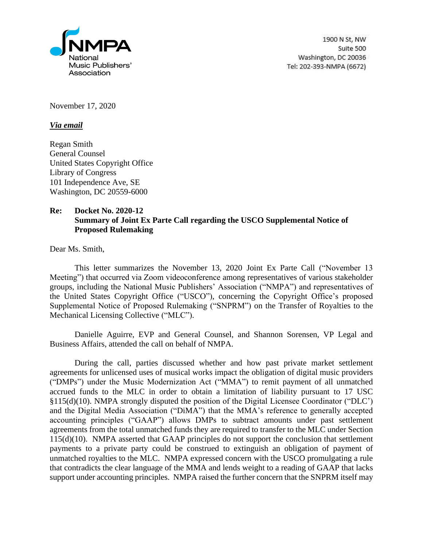

1900 N St, NW Suite 500 Washington, DC 20036 Tel: 202-393-NMPA (6672)

November 17, 2020

*Via email*

Regan Smith General Counsel United States Copyright Office Library of Congress 101 Independence Ave, SE Washington, DC 20559-6000

## **Re: Docket No. 2020-12 Summary of Joint Ex Parte Call regarding the USCO Supplemental Notice of Proposed Rulemaking**

Dear Ms. Smith,

This letter summarizes the November 13, 2020 Joint Ex Parte Call ("November 13 Meeting") that occurred via Zoom videoconference among representatives of various stakeholder groups, including the National Music Publishers' Association ("NMPA") and representatives of the United States Copyright Office ("USCO"), concerning the Copyright Office's proposed Supplemental Notice of Proposed Rulemaking ("SNPRM") on the Transfer of Royalties to the Mechanical Licensing Collective ("MLC").

Danielle Aguirre, EVP and General Counsel, and Shannon Sorensen, VP Legal and Business Affairs, attended the call on behalf of NMPA.

During the call, parties discussed whether and how past private market settlement agreements for unlicensed uses of musical works impact the obligation of digital music providers ("DMPs") under the Music Modernization Act ("MMA") to remit payment of all unmatched accrued funds to the MLC in order to obtain a limitation of liability pursuant to 17 USC §115(d)(10). NMPA strongly disputed the position of the Digital Licensee Coordinator ("DLC') and the Digital Media Association ("DiMA") that the MMA's reference to generally accepted accounting principles ("GAAP") allows DMPs to subtract amounts under past settlement agreements from the total unmatched funds they are required to transfer to the MLC under Section 115(d)(10). NMPA asserted that GAAP principles do not support the conclusion that settlement payments to a private party could be construed to extinguish an obligation of payment of unmatched royalties to the MLC. NMPA expressed concern with the USCO promulgating a rule that contradicts the clear language of the MMA and lends weight to a reading of GAAP that lacks support under accounting principles. NMPA raised the further concern that the SNPRM itself may